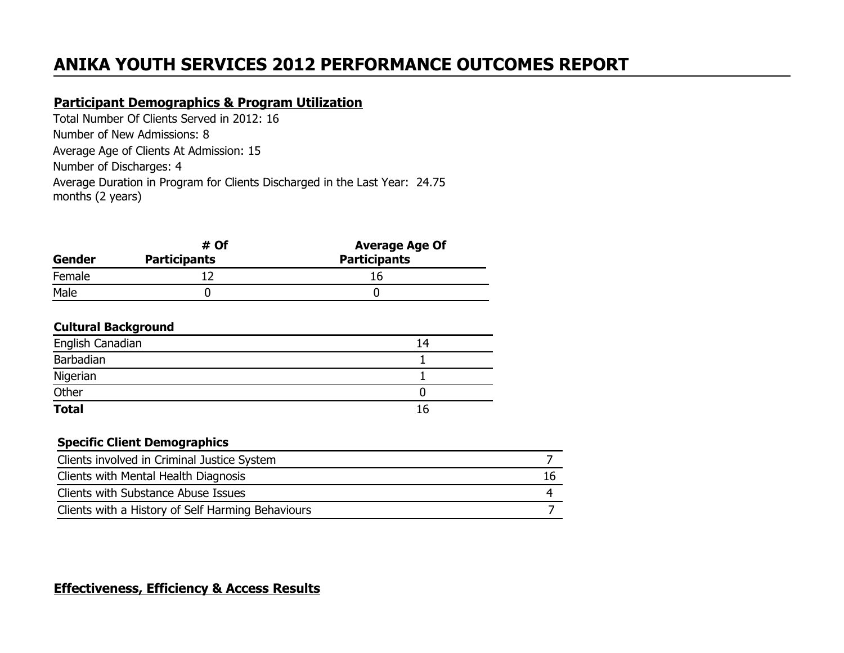# **ANIKA YOUTH SERVICES 2012 PERFORMANCE OUTCOMES REPORT**

### **Participant Demographics & Program Utilization**

Total Number Of Clients Served in 2012: 16 Number of New Admissions: 8 Average Age of Clients At Admission: 15 Number of Discharges: 4 Average Duration in Program for Clients Discharged in the Last Year: 24.75 months (2 years)

|                               | # Of | <b>Average Age Of</b> |  |  |
|-------------------------------|------|-----------------------|--|--|
| <b>Participants</b><br>Gender |      | <b>Participants</b>   |  |  |
| Female                        |      | 16                    |  |  |
| Male                          |      |                       |  |  |

#### **Cultural Background**

| <b>Total</b>     | 16 |
|------------------|----|
| Other            |    |
| Nigerian         |    |
| Barbadian        |    |
| English Canadian | 14 |

#### **Specific Client Demographics**

| Clients involved in Criminal Justice System       |    |
|---------------------------------------------------|----|
| Clients with Mental Health Diagnosis              | 16 |
| Clients with Substance Abuse Issues               |    |
| Clients with a History of Self Harming Behaviours |    |

#### **Effectiveness, Efficiency & Access Results**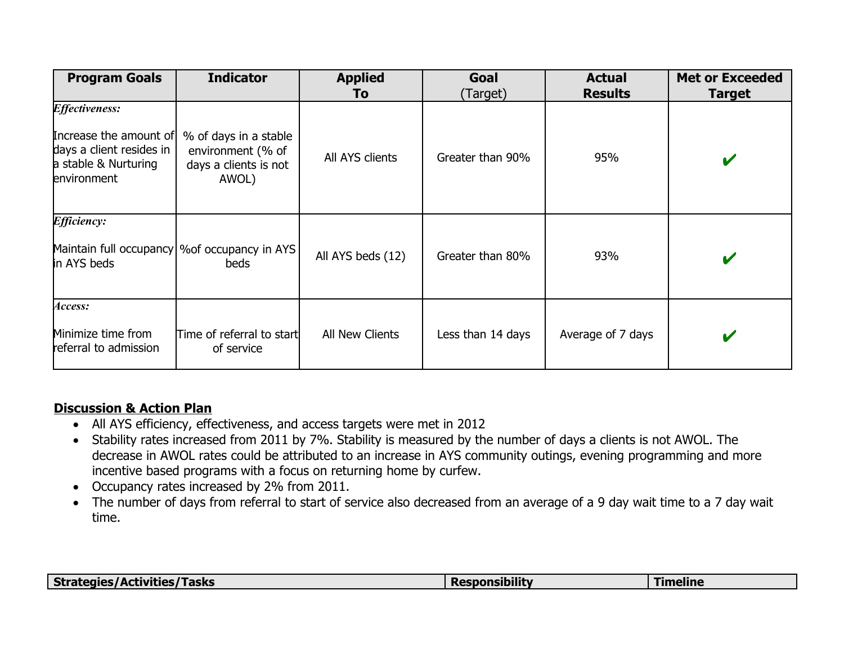| <b>Program Goals</b><br><b>Indicator</b>                                                                                  |                                                                              | <b>Applied</b><br>To | Goal<br>(Target)  | <b>Actual</b><br><b>Results</b> | <b>Met or Exceeded</b><br><b>Target</b> |
|---------------------------------------------------------------------------------------------------------------------------|------------------------------------------------------------------------------|----------------------|-------------------|---------------------------------|-----------------------------------------|
| <b><i>Effectiveness:</i></b><br>Increase the amount of<br>days a client resides in<br>a stable & Nurturing<br>environment | % of days in a stable<br>environment (% of<br>days a clients is not<br>AWOL) | All AYS clients      | Greater than 90%  | 95%                             | V                                       |
| <i><b>Efficiency:</b></i><br>Maintain full occupancy<br>in AYS beds                                                       | %of occupancy in AYS <br>beds                                                | All AYS beds (12)    | Greater than 80%  | 93%                             | V                                       |
| Access:<br>Minimize time from<br>referral to admission                                                                    | Time of referral to start<br>of service                                      |                      | Less than 14 days | Average of 7 days               | V                                       |

## **Discussion & Action Plan**

- All AYS efficiency, effectiveness, and access targets were met in 2012
- Stability rates increased from 2011 by 7%. Stability is measured by the number of days a clients is not AWOL. The decrease in AWOL rates could be attributed to an increase in AYS community outings, evening programming and more incentive based programs with a focus on returning home by curfew.
- Occupancy rates increased by 2% from 2011.
- The number of days from referral to start of service also decreased from an average of a 9 day wait time to a 7 day wait time.

| Strategies/Activities/Tasks | <b>Responsibility</b> | <b>Timeline</b> |
|-----------------------------|-----------------------|-----------------|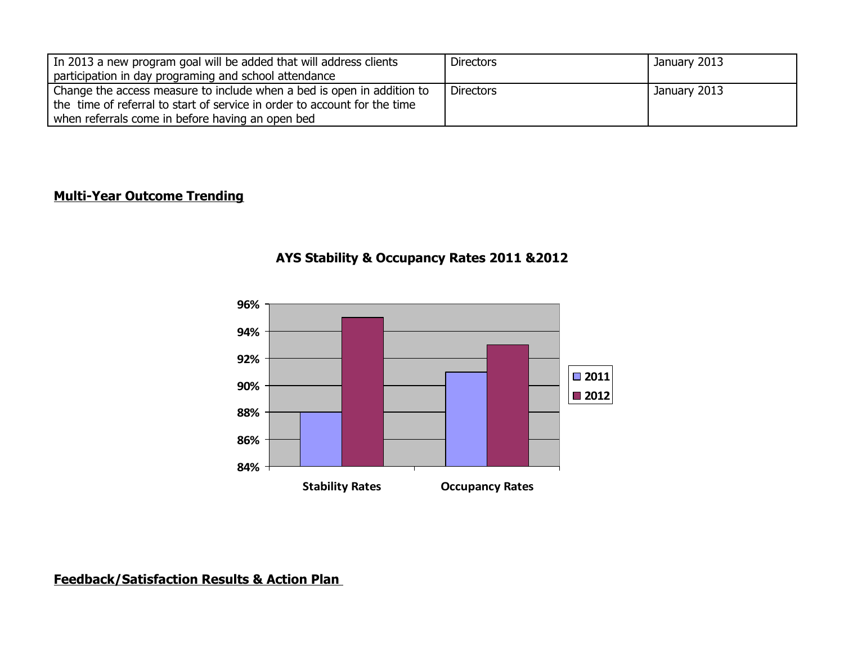| In 2013 a new program goal will be added that will address clients        | <b>Directors</b> | January 2013 |
|---------------------------------------------------------------------------|------------------|--------------|
| participation in day programing and school attendance                     |                  |              |
| Change the access measure to include when a bed is open in addition to    | <b>Directors</b> | January 2013 |
| the time of referral to start of service in order to account for the time |                  |              |
| when referrals come in before having an open bed                          |                  |              |

## **Multi-Year Outcome Trending**





**Feedback/Satisfaction Results & Action Plan**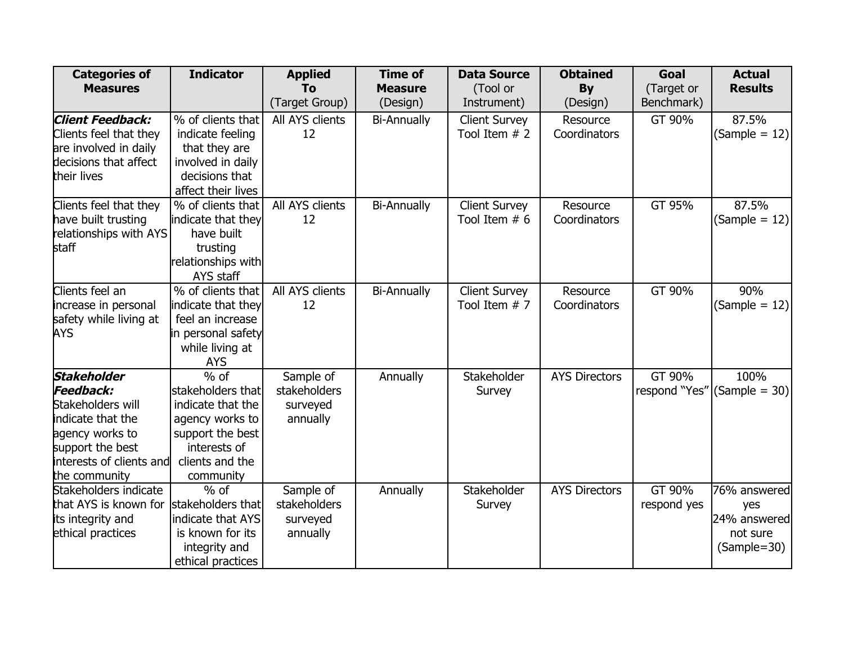| <b>Categories of</b>     | <b>Indicator</b>              | <b>Applied</b>  | <b>Time of</b>     | <b>Data Source</b>   | <b>Obtained</b>      | Goal          | <b>Actual</b>   |
|--------------------------|-------------------------------|-----------------|--------------------|----------------------|----------------------|---------------|-----------------|
| <b>Measures</b>          |                               | To              | <b>Measure</b>     | (Tool or             | <b>By</b>            | (Target or    | <b>Results</b>  |
|                          |                               | (Target Group)  | (Design)           | Instrument)          | (Design)             | Benchmark)    |                 |
| Client Feedback:         | % of clients that             | All AYS clients | <b>Bi-Annually</b> | <b>Client Survey</b> | Resource             | GT 90%        | 87.5%           |
| Clients feel that they   | indicate feeling              | 12              |                    | Tool Item $# 2$      | Coordinators         |               | $(Sample = 12)$ |
| are involved in daily    | that they are                 |                 |                    |                      |                      |               |                 |
| decisions that affect    | involved in daily             |                 |                    |                      |                      |               |                 |
| their lives              | decisions that                |                 |                    |                      |                      |               |                 |
|                          | affect their lives            |                 |                    |                      |                      |               |                 |
| Clients feel that they   | % of clients that             | All AYS clients | <b>Bi-Annually</b> | <b>Client Survey</b> | Resource             | GT 95%        | 87.5%           |
| have built trusting      | indicate that they            | 12              |                    | Tool Item $# 6$      | Coordinators         |               | $(Sample = 12)$ |
| relationships with AYS   | have built                    |                 |                    |                      |                      |               |                 |
| staff                    | trusting                      |                 |                    |                      |                      |               |                 |
|                          | relationships with            |                 |                    |                      |                      |               |                 |
|                          | AYS staff                     |                 |                    |                      |                      |               |                 |
| Clients feel an          | % of clients that             | All AYS clients | <b>Bi-Annually</b> | <b>Client Survey</b> | Resource             | GT 90%        | 90%             |
| increase in personal     | indicate that they            | 12              |                    | Tool Item $# 7$      | Coordinators         |               | $(Sample = 12)$ |
| safety while living at   | feel an increase              |                 |                    |                      |                      |               |                 |
| AYS                      | in personal safety            |                 |                    |                      |                      |               |                 |
|                          | while living at<br><b>AYS</b> |                 |                    |                      |                      |               |                 |
| Stakeholder              | $\frac{9}{6}$ of              | Sample of       | Annually           | Stakeholder          | <b>AYS Directors</b> | GT 90%        | 100%            |
| Feedback:                | stakeholders that             | stakeholders    |                    | Survey               |                      | respond "Yes" | $(Sample = 30)$ |
| Stakeholders will        | indicate that the             | surveyed        |                    |                      |                      |               |                 |
| indicate that the        | agency works to               | annually        |                    |                      |                      |               |                 |
| agency works to          | support the best              |                 |                    |                      |                      |               |                 |
| support the best         | interests of                  |                 |                    |                      |                      |               |                 |
| interests of clients and | clients and the               |                 |                    |                      |                      |               |                 |
| the community            | community                     |                 |                    |                      |                      |               |                 |
| Stakeholders indicate    | $%$ of                        | Sample of       | Annually           | Stakeholder          | <b>AYS Directors</b> | GT 90%        | 76% answered    |
| that AYS is known for    | stakeholders that             | stakeholders    |                    | Survey               |                      | respond yes   | yes             |
| its integrity and        | indicate that AYS             | surveyed        |                    |                      |                      |               | 24% answered    |
| ethical practices        | is known for its              | annually        |                    |                      |                      |               | not sure        |
|                          | integrity and                 |                 |                    |                      |                      |               | (Sample=30)     |
|                          | ethical practices             |                 |                    |                      |                      |               |                 |